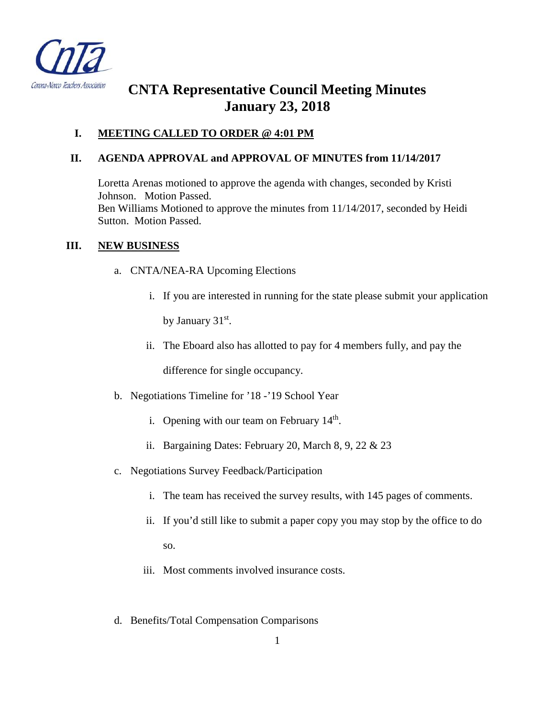

# **CNTA Representative Council Meeting Minutes January 23, 2018**

## **I. MEETING CALLED TO ORDER @ 4:01 PM**

## **II. AGENDA APPROVAL and APPROVAL OF MINUTES from 11/14/2017**

Loretta Arenas motioned to approve the agenda with changes, seconded by Kristi Johnson. Motion Passed. Ben Williams Motioned to approve the minutes from 11/14/2017, seconded by Heidi Sutton. Motion Passed.

## **III. NEW BUSINESS**

- a. CNTA/NEA-RA Upcoming Elections
	- i. If you are interested in running for the state please submit your application by January 31<sup>st</sup>.
	- ii. The Eboard also has allotted to pay for 4 members fully, and pay the

difference for single occupancy.

- b. Negotiations Timeline for '18 -'19 School Year
	- i. Opening with our team on February  $14<sup>th</sup>$ .
	- ii. Bargaining Dates: February 20, March 8, 9, 22 & 23
- c. Negotiations Survey Feedback/Participation
	- i. The team has received the survey results, with 145 pages of comments.
	- ii. If you'd still like to submit a paper copy you may stop by the office to do so.
	- iii. Most comments involved insurance costs.
- d. Benefits/Total Compensation Comparisons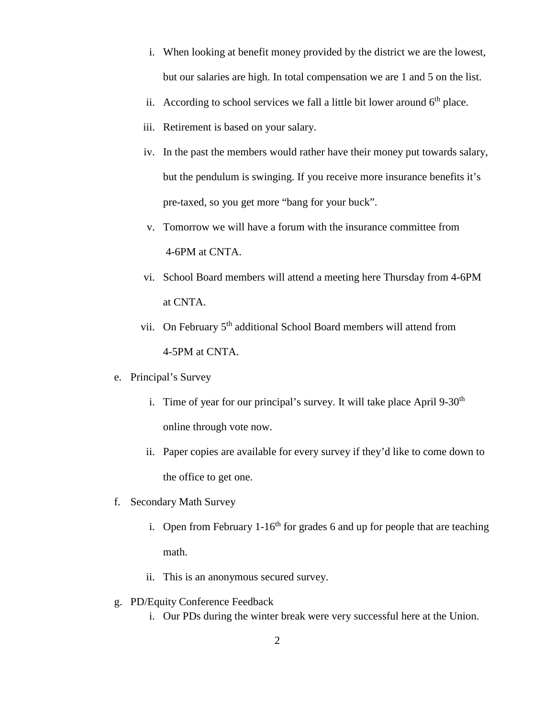- i. When looking at benefit money provided by the district we are the lowest, but our salaries are high. In total compensation we are 1 and 5 on the list.
- ii. According to school services we fall a little bit lower around  $6<sup>th</sup>$  place.
- iii. Retirement is based on your salary.
- iv. In the past the members would rather have their money put towards salary, but the pendulum is swinging. If you receive more insurance benefits it's pre-taxed, so you get more "bang for your buck".
- v. Tomorrow we will have a forum with the insurance committee from 4-6PM at CNTA.
- vi. School Board members will attend a meeting here Thursday from 4-6PM at CNTA.
- vii. On February 5<sup>th</sup> additional School Board members will attend from 4-5PM at CNTA.
- e. Principal's Survey
	- i. Time of year for our principal's survey. It will take place April  $9-30<sup>th</sup>$ online through vote now.
	- ii. Paper copies are available for every survey if they'd like to come down to the office to get one.
- f. Secondary Math Survey
	- i. Open from February  $1-16^{th}$  for grades 6 and up for people that are teaching math.
	- ii. This is an anonymous secured survey.
- g. PD/Equity Conference Feedback
	- i. Our PDs during the winter break were very successful here at the Union.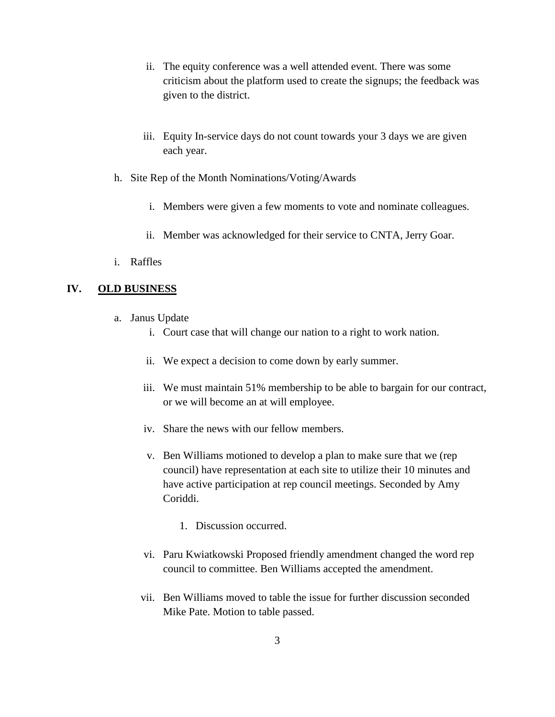- ii. The equity conference was a well attended event. There was some criticism about the platform used to create the signups; the feedback was given to the district.
- iii. Equity In-service days do not count towards your 3 days we are given each year.
- h. Site Rep of the Month Nominations/Voting/Awards
	- i. Members were given a few moments to vote and nominate colleagues.
	- ii. Member was acknowledged for their service to CNTA, Jerry Goar.
- i. Raffles

### **IV. OLD BUSINESS**

- a. Janus Update
	- i. Court case that will change our nation to a right to work nation.
	- ii. We expect a decision to come down by early summer.
	- iii. We must maintain 51% membership to be able to bargain for our contract, or we will become an at will employee.
	- iv. Share the news with our fellow members.
	- v. Ben Williams motioned to develop a plan to make sure that we (rep council) have representation at each site to utilize their 10 minutes and have active participation at rep council meetings. Seconded by Amy Coriddi.
		- 1. Discussion occurred.
	- vi. Paru Kwiatkowski Proposed friendly amendment changed the word rep council to committee. Ben Williams accepted the amendment.
	- vii. Ben Williams moved to table the issue for further discussion seconded Mike Pate. Motion to table passed.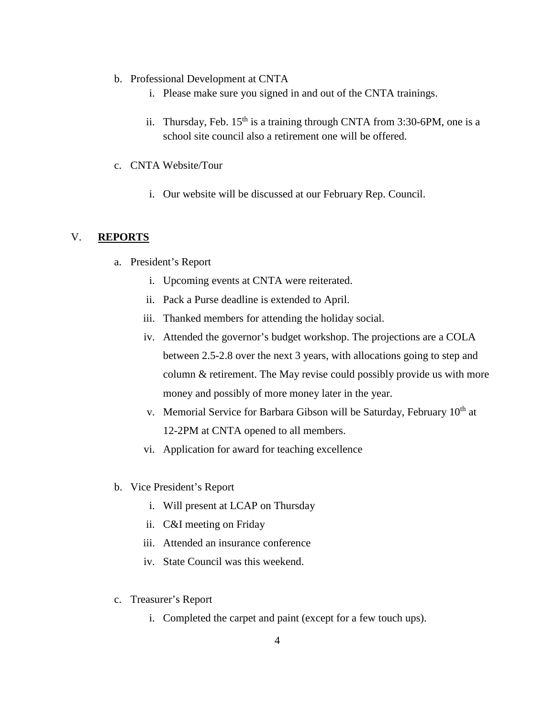- b. Professional Development at CNTA
	- i. Please make sure you signed in and out of the CNTA trainings.
	- ii. Thursday, Feb.  $15<sup>th</sup>$  is a training through CNTA from 3:30-6PM, one is a school site council also a retirement one will be offered.
- c. CNTA Website/Tour
	- i. Our website will be discussed at our February Rep. Council.

### V. **REPORTS**

- a. President's Report
	- i. Upcoming events at CNTA were reiterated.
	- ii. Pack a Purse deadline is extended to April.
	- iii. Thanked members for attending the holiday social.
	- iv. Attended the governor's budget workshop. The projections are a COLA between 2.5-2.8 over the next 3 years, with allocations going to step and column & retirement. The May revise could possibly provide us with more money and possibly of more money later in the year.
	- v. Memorial Service for Barbara Gibson will be Saturday, February  $10<sup>th</sup>$  at 12-2PM at CNTA opened to all members.
	- vi. Application for award for teaching excellence
- b. Vice President's Report
	- i. Will present at LCAP on Thursday
	- ii. C&I meeting on Friday
	- iii. Attended an insurance conference
	- iv. State Council was this weekend.
- c. Treasurer's Report
	- i. Completed the carpet and paint (except for a few touch ups).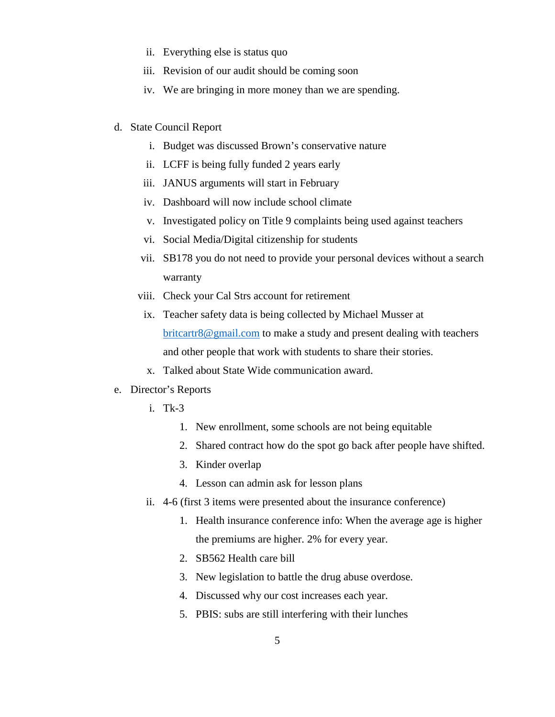- ii. Everything else is status quo
- iii. Revision of our audit should be coming soon
- iv. We are bringing in more money than we are spending.
- d. State Council Report
	- i. Budget was discussed Brown's conservative nature
	- ii. LCFF is being fully funded 2 years early
	- iii. JANUS arguments will start in February
	- iv. Dashboard will now include school climate
	- v. Investigated policy on Title 9 complaints being used against teachers
	- vi. Social Media/Digital citizenship for students
	- vii. SB178 you do not need to provide your personal devices without a search warranty
	- viii. Check your Cal Strs account for retirement
	- ix. Teacher safety data is being collected by Michael Musser at [britcartr8@gmail.com](mailto:britcartr8@gmail.com) to make a study and present dealing with teachers and other people that work with students to share their stories.
	- x. Talked about State Wide communication award.
- e. Director's Reports
	- i. Tk-3
		- 1. New enrollment, some schools are not being equitable
		- 2. Shared contract how do the spot go back after people have shifted.
		- 3. Kinder overlap
		- 4. Lesson can admin ask for lesson plans
	- ii. 4-6 (first 3 items were presented about the insurance conference)
		- 1. Health insurance conference info: When the average age is higher the premiums are higher. 2% for every year.
		- 2. SB562 Health care bill
		- 3. New legislation to battle the drug abuse overdose.
		- 4. Discussed why our cost increases each year.
		- 5. PBIS: subs are still interfering with their lunches